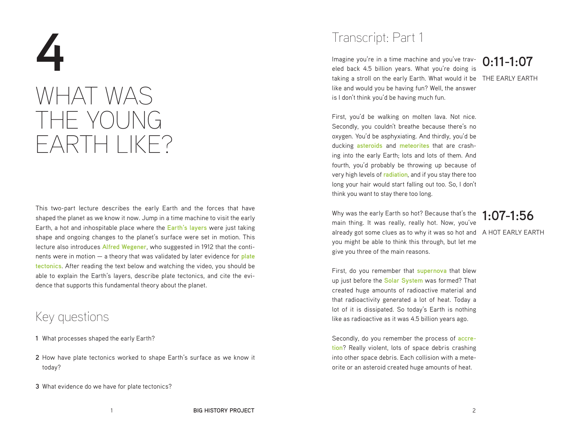# **4** WHAT WAS THE YOUNG EARTH LIKE?

This two-part lecture describes the early Earth and the forces that have shaped the planet as we know it now. Jump in a time machine to visit the early Earth, a hot and inhospitable place where the **Earth's layers** were just taking shape and ongoing changes to the planet's surface were set in motion. This lecture also introduces **Alfred Wegener**, who suggested in 1912 that the continents were in motion — a theory that was validated by later evidence for **plate tectonics**. After reading the text below and watching the video, you should be able to explain the Earth's layers, describe plate tectonics, and cite the evidence that supports this fundamental theory about the planet.

### Key questions

- **1** What processes shaped the early Earth?
- **2** How have plate tectonics worked to shape Earth's surface as we know it today?
- **3** What evidence do we have for plate tectonics?

## Transcript: Part 1

Imagine you're in a time machine and you've trav-**0:11-1:07** eled back 4.5 billion years. What you're doing is taking a stroll on the early Earth. What would it be THE EARLY EARTH like and would you be having fun? Well, the answer is I don't think you'd be having much fun.

First, you'd be walking on molten lava. Not nice. Secondly, you couldn't breathe because there's no oxygen. You'd be asphyxiating. And thirdly, you'd be ducking **asteroids** and **meteorites** that are crashing into the early Earth; lots and lots of them. And fourth, you'd probably be throwing up because of very high levels of **radiation**, and if you stay there too long your hair would start falling out too. So, I don't think you want to stay there too long.

Why was the early Earth so hot? Because that's the main thing. It was really, really hot. Now, you've already got some clues as to why it was so hot and A HOT EARLY EARTH you might be able to think this through, but let me give you three of the main reasons.

### **1:07-1:56**

First, do you remember that **supernova** that blew up just before the **Solar System** was formed? That created huge amounts of radioactive material and that radioactivity generated a lot of heat. Today a lot of it is dissipated. So today's Earth is nothing like as radioactive as it was 4.5 billion years ago.

Secondly, do you remember the process of **accretion**? Really violent, lots of space debris crashing into other space debris. Each collision with a meteorite or an asteroid created huge amounts of heat.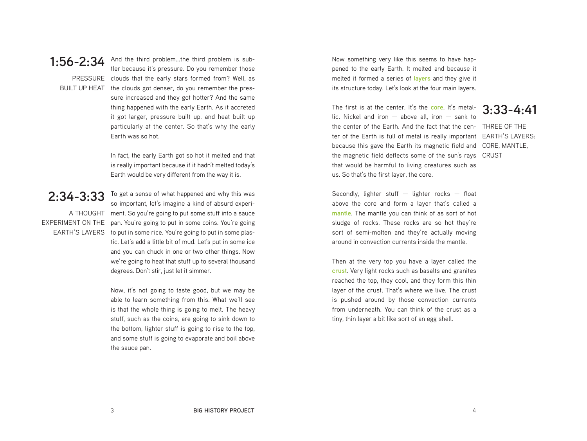

**1:56-2:34** And the third problem…the third problem is sub-PRESSURE clouds that the early stars formed from? Well, as BUILT UP HEAT the clouds got denser, do you remember the prestler because it's pressure. Do you remember those sure increased and they got hotter? And the same thing happened with the early Earth. As it accreted it got larger, pressure built up, and heat built up particularly at the center. So that's why the early Earth was so hot.

> In fact, the early Earth got so hot it melted and that is really important because if it hadn't melted today's Earth would be very different from the way it is.

2:34-3:33 To get a sense of what happened and why this was A THOUGHT ment. So you're going to put some stuff into a sauce EXPERIMENT ON THE pan. You're going to put in some coins. You're going EARTH'S LAYERS to put in some rice. You're going to put in some plasso important, let's imagine a kind of absurd experitic. Let's add a little bit of mud. Let's put in some ice and you can chuck in one or two other things. Now we're going to heat that stuff up to several thousand degrees. Don't stir, just let it simmer.

> Now, it's not going to taste good, but we may be able to learn something from this. What we'll see is that the whole thing is going to melt. The heavy stuff, such as the coins, are going to sink down to the bottom, lighter stuff is going to rise to the top, and some stuff is going to evaporate and boil above the sauce pan.

Now something very like this seems to have happened to the early Earth. It melted and because it melted it formed a series of **layers** and they give it its structure today. Let's look at the four main layers.

The first is at the center. It's the **core**. It's metallic. Nickel and iron  $-$  above all, iron  $-$  sank to the center of the Earth. And the fact that the cen-THREE OF THE ter of the Earth is full of metal is really important EARTH'S LAYERS: because this gave the Earth its magnetic field and CORE, MANTLE, the magnetic field deflects some of the sun's rays CRUSTthat would be harmful to living creatures such as us. So that's the first layer, the core.

**3:33-4:41**

Secondly, lighter stuff  $-$  lighter rocks  $-$  float above the core and form a layer that's called a **mantle**. The mantle you can think of as sort of hot sludge of rocks. These rocks are so hot they're sort of semi-molten and they're actually moving around in convection currents inside the mantle.

Then at the very top you have a layer called the **crust**. Very light rocks such as basalts and granites reached the top, they cool, and they form this thin layer of the crust. That's where we live. The crust is pushed around by those convection currents from underneath. You can think of the crust as a tiny, thin layer a bit like sort of an egg shell.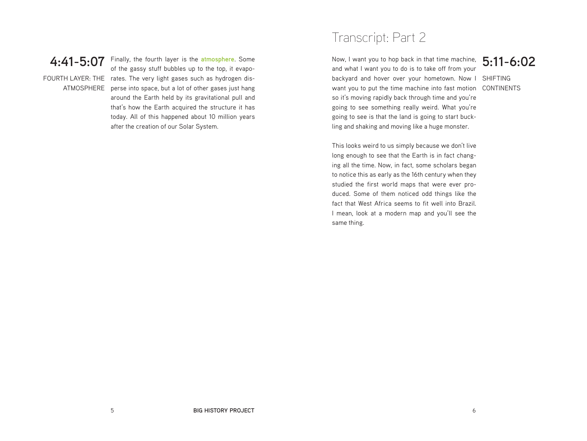## **4:41-5:07**

FOURTH LAYER: THE rates. The very light gases such as hydrogen dis-ATMOSPHERE perse into space, but a lot of other gases just hang Finally, the fourth layer is the **atmosphere**. Some of the gassy stuff bubbles up to the top, it evapoaround the Earth held by its gravitational pull and that's how the Earth acquired the structure it has today. All of this happened about 10 million years after the creation of our Solar System.

## Transcript: Part 2

Now, I want you to hop back in that time machine, 5:11-6:02 backyard and hover over your hometown. Now I SHIFTING want you to put the time machine into fast motion CONTINENTS and what I want you to do is to take off from your so it's moving rapidly back through time and you're going to see something really weird. What you're going to see is that the land is going to start buckling and shaking and moving like a huge monster.

This looks weird to us simply because we don't live long enough to see that the Earth is in fact changing all the time. Now, in fact, some scholars began to notice this as early as the 16th century when they studied the first world maps that were ever produced. Some of them noticed odd things like the fact that West Africa seems to fit well into Brazil. I mean, look at a modern map and you'll see the same thing.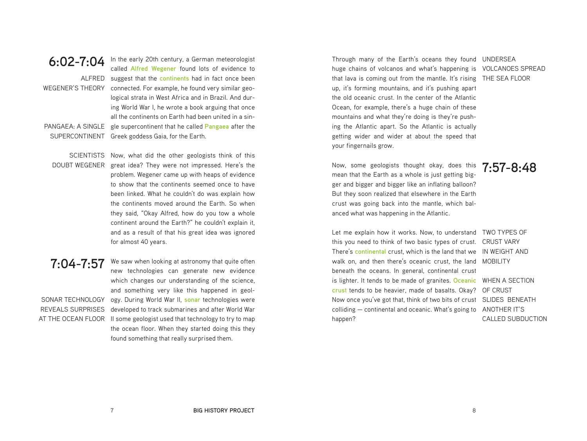**6:02-7:04** In the early 20th century, a German meteorologist<br>**6:02-7:04** Called Alfred Wagener, found lots of ovidence to ALFRED suggest that the **continents** had in fact once been WEGENER'S THEORY connected. For example, he found very similar geo-PANGAFA· A SINGLE SUPERCONTINENT Greek goddess Gaia, for the Earth. called **Alfred Wegener** found lots of evidence to logical strata in West Africa and in Brazil. And during World War I, he wrote a book arguing that once all the continents on Earth had been united in a single supercontinent that he called **Pangaea** after the

SCIENTISTS Now, what did the other geologists think of this DOUBT WEGENER great idea? They were not impressed. Here's the problem. Wegener came up with heaps of evidence to show that the continents seemed once to have been linked. What he couldn't do was explain how the continents moved around the Earth. So when they said, "Okay Alfred, how do you tow a whole continent around the Earth?" he couldn't explain it, and as a result of that his great idea was ignored for almost 40 years.

### **7:04-7:57**

SONAR TECHNOLOGY ogy. During World War II, **sonar** technologies were REVEALS SURPRISES developed to track submarines and after World War AT THE OCEAN FLOOR II some geologist used that technology to try to map We saw when looking at astronomy that quite often new technologies can generate new evidence which changes our understanding of the science, and something very like this happened in geolthe ocean floor. When they started doing this they found something that really surprised them.

Through many of the Earth's oceans they found UNDERSEA huge chains of volcanos and what's happening is VOLCANOES SPREAD that lava is coming out from the mantle. It's rising THE SEA FLOOR up, it's forming mountains, and it's pushing apart the old oceanic crust. In the center of the Atlantic Ocean, for example, there's a huge chain of these mountains and what they're doing is they're pushing the Atlantic apart. So the Atlantic is actually getting wider and wider at about the speed that your fingernails grow.

**7:57-8:48** Now, some geologists thought okay, does this mean that the Earth as a whole is just getting bigger and bigger and bigger like an inflating balloon? But they soon realized that elsewhere in the Earth crust was going back into the mantle, which balanced what was happening in the Atlantic.

Let me explain how it works. Now, to understand TWO TYPES OF this you need to think of two basic types of crust. CRUST VARY There's continental crust, which is the land that we IN WEIGHT AND walk on, and then there's oceanic crust, the land MOBILITY is lighter. It tends to be made of granites. Oceanic WHEN A SECTION crust tends to be heavier, made of basalts. Okay? OF CRUST Now once you've got that, think of two bits of crust SLIDES BENEATH colliding – continental and oceanic. What's going to ANOTHER IT'S beneath the oceans. In general, continental crust happen?

CALLED SUBDUCTION